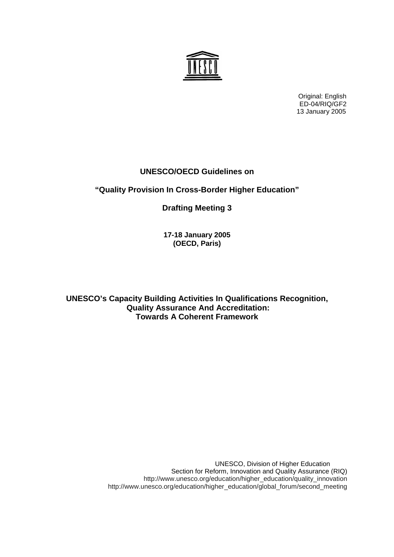Original: English ED-04/RIQ/GF2 13 January 2005

# **UNESCO/OECD Guidelines on**

# **"Quality Provision In Cross-Border Higher Education"**

**Drafting Meeting 3** 

**17-18 January 2005 (OECD, Paris)** 

**UNESCO's Capacity Building Activities In Qualifications Recognition, Quality Assurance And Accreditation: Towards A Coherent Framework** 

> UNESCO, Division of Higher Education Section for Reform, Innovation and Quality Assurance (RIQ) http://www.unesco.org/education/higher\_education/quality\_innovation http://www.unesco.org/education/higher\_education/global\_forum/second\_meeting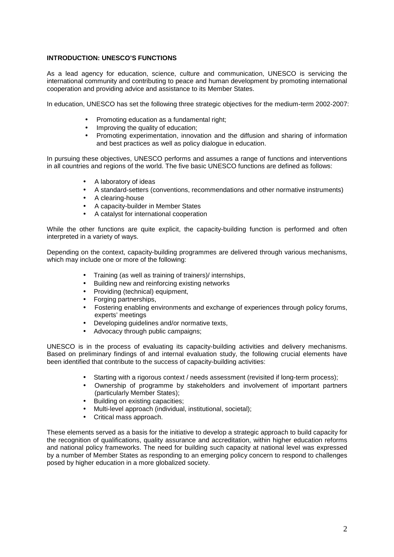# **INTRODUCTION: UNESCO'S FUNCTIONS**

As a lead agency for education, science, culture and communication, UNESCO is servicing the international community and contributing to peace and human development by promoting international cooperation and providing advice and assistance to its Member States.

In education, UNESCO has set the following three strategic objectives for the medium-term 2002-2007:

- Promoting education as a fundamental right;
- Improving the quality of education;
- Promoting experimentation, innovation and the diffusion and sharing of information and best practices as well as policy dialogue in education.

In pursuing these objectives, UNESCO performs and assumes a range of functions and interventions in all countries and regions of the world. The five basic UNESCO functions are defined as follows:

- A laboratory of ideas
- A standard-setters (conventions, recommendations and other normative instruments)
- A clearing-house
- A capacity-builder in Member States
- A catalyst for international cooperation

While the other functions are quite explicit, the capacity-building function is performed and often interpreted in a variety of ways.

Depending on the context, capacity-building programmes are delivered through various mechanisms, which may include one or more of the following:

- Training (as well as training of trainers)/ internships,
- Building new and reinforcing existing networks
- Providing (technical) equipment,
- Forging partnerships,
- Fostering enabling environments and exchange of experiences through policy forums, experts' meetings
- Developing guidelines and/or normative texts,
- Advocacy through public campaigns;

UNESCO is in the process of evaluating its capacity-building activities and delivery mechanisms. Based on preliminary findings of and internal evaluation study, the following crucial elements have been identified that contribute to the success of capacity-building activities:

- Starting with a rigorous context / needs assessment (revisited if long-term process);
- Ownership of programme by stakeholders and involvement of important partners (particularly Member States);
- Building on existing capacities;
- Multi-level approach (individual, institutional, societal);
- Critical mass approach.

These elements served as a basis for the initiative to develop a strategic approach to build capacity for the recognition of qualifications, quality assurance and accreditation, within higher education reforms and national policy frameworks. The need for building such capacity at national level was expressed by a number of Member States as responding to an emerging policy concern to respond to challenges posed by higher education in a more globalized society.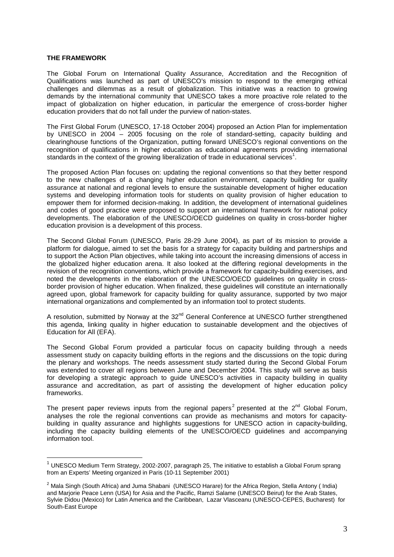#### **THE FRAMEWORK**

 $\overline{a}$ 

The Global Forum on International Quality Assurance, Accreditation and the Recognition of Qualifications was launched as part of UNESCO's mission to respond to the emerging ethical challenges and dilemmas as a result of globalization. This initiative was a reaction to growing demands by the international community that UNESCO takes a more proactive role related to the impact of globalization on higher education, in particular the emergence of cross-border higher education providers that do not fall under the purview of nation-states.

The First Global Forum (UNESCO, 17-18 October 2004) proposed an Action Plan for implementation by UNESCO in 2004 – 2005 focusing on the role of standard-setting, capacity building and clearinghouse functions of the Organization, putting forward UNESCO's regional conventions on the recognition of qualifications in higher education as educational agreements providing international standards in the context of the growing liberalization of trade in educational services<sup>1</sup>.

The proposed Action Plan focuses on: updating the regional conventions so that they better respond to the new challenges of a changing higher education environment, capacity building for quality assurance at national and regional levels to ensure the sustainable development of higher education systems and developing information tools for students on quality provision of higher education to empower them for informed decision-making. In addition, the development of international guidelines and codes of good practice were proposed to support an international framework for national policy developments. The elaboration of the UNESCO/OECD guidelines on quality in cross-border higher education provision is a development of this process.

The Second Global Forum (UNESCO, Paris 28-29 June 2004), as part of its mission to provide a platform for dialogue, aimed to set the basis for a strategy for capacity building and partnerships and to support the Action Plan objectives, while taking into account the increasing dimensions of access in the globalized higher education arena. It also looked at the differing regional developments in the revision of the recognition conventions, which provide a framework for capacity-building exercises, and noted the developments in the elaboration of the UNESCO/OECD guidelines on quality in crossborder provision of higher education. When finalized, these guidelines will constitute an internationally agreed upon, global framework for capacity building for quality assurance, supported by two major international organizations and complemented by an information tool to protect students.

A resolution, submitted by Norway at the 32<sup>nd</sup> General Conference at UNESCO further strengthened this agenda, linking quality in higher education to sustainable development and the objectives of Education for All (EFA).

The Second Global Forum provided a particular focus on capacity building through a needs assessment study on capacity building efforts in the regions and the discussions on the topic during the plenary and workshops. The needs assessment study started during the Second Global Forum was extended to cover all regions between June and December 2004. This study will serve as basis for developing a strategic approach to guide UNESCO's activities in capacity building in quality assurance and accreditation, as part of assisting the development of higher education policy frameworks.

The present paper reviews inputs from the regional papers<sup>2</sup> presented at the  $2^{nd}$  Global Forum, analyses the role the regional conventions can provide as mechanisms and motors for capacitybuilding in quality assurance and highlights suggestions for UNESCO action in capacity-building, including the capacity building elements of the UNESCO/OECD guidelines and accompanying information tool.

 $1$  UNESCO Medium Term Strategy, 2002-2007, paragraph 25, The initiative to establish a Global Forum sprang from an Experts' Meeting organized in Paris (10-11 September 2001)

<sup>&</sup>lt;sup>2</sup> Mala Singh (South Africa) and Juma Shabani (UNESCO Harare) for the Africa Region, Stella Antony (India) and Marjorie Peace Lenn (USA) for Asia and the Pacific, Ramzi Salame (UNESCO Beirut) for the Arab States, Sylvie Didou (Mexico) for Latin America and the Caribbean, Lazar Vlasceanu (UNESCO-CEPES, Bucharest) for South-East Europe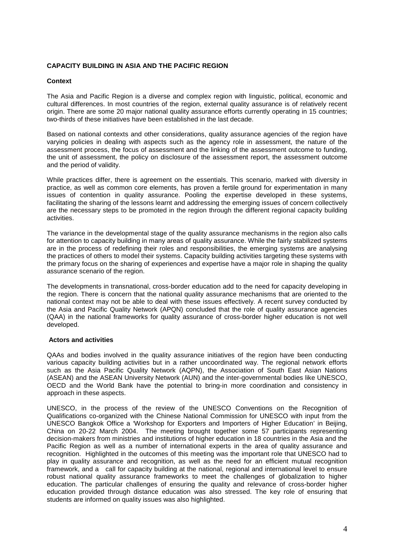# **CAPACITY BUILDING IN ASIA AND THE PACIFIC REGION**

# **Context**

The Asia and Pacific Region is a diverse and complex region with linguistic, political, economic and cultural differences. In most countries of the region, external quality assurance is of relatively recent origin. There are some 20 major national quality assurance efforts currently operating in 15 countries; two-thirds of these initiatives have been established in the last decade.

Based on national contexts and other considerations, quality assurance agencies of the region have varying policies in dealing with aspects such as the agency role in assessment, the nature of the assessment process, the focus of assessment and the linking of the assessment outcome to funding, the unit of assessment, the policy on disclosure of the assessment report, the assessment outcome and the period of validity.

While practices differ, there is agreement on the essentials. This scenario, marked with diversity in practice, as well as common core elements, has proven a fertile ground for experimentation in many issues of contention in quality assurance. Pooling the expertise developed in these systems, facilitating the sharing of the lessons learnt and addressing the emerging issues of concern collectively are the necessary steps to be promoted in the region through the different regional capacity building activities.

The variance in the developmental stage of the quality assurance mechanisms in the region also calls for attention to capacity building in many areas of quality assurance. While the fairly stabilized systems are in the process of redefining their roles and responsibilities, the emerging systems are analysing the practices of others to model their systems. Capacity building activities targeting these systems with the primary focus on the sharing of experiences and expertise have a major role in shaping the quality assurance scenario of the region.

The developments in transnational, cross-border education add to the need for capacity developing in the region. There is concern that the national quality assurance mechanisms that are oriented to the national context may not be able to deal with these issues effectively. A recent survey conducted by the Asia and Pacific Quality Network (APQN) concluded that the role of quality assurance agencies (QAA) in the national frameworks for quality assurance of cross-border higher education is not well developed.

# **Actors and activities**

QAAs and bodies involved in the quality assurance initiatives of the region have been conducting various capacity building activities but in a rather uncoordinated way. The regional network efforts such as the Asia Pacific Quality Network (AQPN), the Association of South East Asian Nations (ASEAN) and the ASEAN University Network (AUN) and the inter-governmental bodies like UNESCO, OECD and the World Bank have the potential to bring-in more coordination and consistency in approach in these aspects.

UNESCO, in the process of the review of the UNESCO Conventions on the Recognition of Qualifications co-organized with the Chinese National Commission for UNESCO with input from the UNESCO Bangkok Office a 'Workshop for Exporters and Importers of Higher Education' in Beijing, China on 20-22 March 2004. The meeting brought together some 57 participants representing decision-makers from ministries and institutions of higher education in 18 countries in the Asia and the Pacific Region as well as a number of international experts in the area of quality assurance and recognition. Highlighted in the outcomes of this meeting was the important role that UNESCO had to play in quality assurance and recognition, as well as the need for an efficient mutual recognition framework, and a call for capacity building at the national, regional and international level to ensure robust national quality assurance frameworks to meet the challenges of globalization to higher education. The particular challenges of ensuring the quality and relevance of cross-border higher education provided through distance education was also stressed. The key role of ensuring that students are informed on quality issues was also highlighted.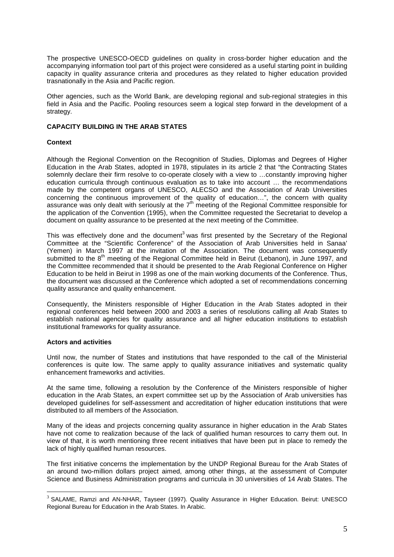The prospective UNESCO-OECD guidelines on quality in cross-border higher education and the accompanying information tool part of this project were considered as a useful starting point in building capacity in quality assurance criteria and procedures as they related to higher education provided trasnationally in the Asia and Pacific region.

Other agencies, such as the World Bank, are developing regional and sub-regional strategies in this field in Asia and the Pacific. Pooling resources seem a logical step forward in the development of a strategy.

## **CAPACITY BUILDING IN THE ARAB STATES**

#### **Context**

Although the Regional Convention on the Recognition of Studies, Diplomas and Degrees of Higher Education in the Arab States, adopted in 1978, stipulates in its article 2 that "the Contracting States solemnly declare their firm resolve to co-operate closely with a view to …constantly improving higher education curricula through continuous evaluation as to take into account … the recommendations made by the competent organs of UNESCO, ALECSO and the Association of Arab Universities concerning the continuous improvement of the quality of education…", the concern with quality assurance was only dealt with seriously at the  $7<sup>th</sup>$  meeting of the Regional Committee responsible for the application of the Convention (1995), when the Committee requested the Secretariat to develop a document on quality assurance to be presented at the next meeting of the Committee.

This was effectively done and the document<sup>3</sup> was first presented by the Secretary of the Regional Committee at the "Scientific Conference" of the Association of Arab Universities held in Sanaa' (Yemen) in March 1997 at the invitation of the Association. The document was consequently submitted to the 8<sup>th</sup> meeting of the Regional Committee held in Beirut (Lebanon), in June 1997, and the Committee recommended that it should be presented to the Arab Regional Conference on Higher Education to be held in Beirut in 1998 as one of the main working documents of the Conference. Thus, the document was discussed at the Conference which adopted a set of recommendations concerning quality assurance and quality enhancement.

Consequently, the Ministers responsible of Higher Education in the Arab States adopted in their regional conferences held between 2000 and 2003 a series of resolutions calling all Arab States to establish national agencies for quality assurance and all higher education institutions to establish institutional frameworks for quality assurance.

#### **Actors and activities**

 $\overline{a}$ 

Until now, the number of States and institutions that have responded to the call of the Ministerial conferences is quite low. The same apply to quality assurance initiatives and systematic quality enhancement frameworks and activities.

At the same time, following a resolution by the Conference of the Ministers responsible of higher education in the Arab States, an expert committee set up by the Association of Arab universities has developed guidelines for self-assessment and accreditation of higher education institutions that were distributed to all members of the Association.

Many of the ideas and projects concerning quality assurance in higher education in the Arab States have not come to realization because of the lack of qualified human resources to carry them out. In view of that, it is worth mentioning three recent initiatives that have been put in place to remedy the lack of highly qualified human resources.

The first initiative concerns the implementation by the UNDP Regional Bureau for the Arab States of an around two-million dollars project aimed, among other things, at the assessment of Computer Science and Business Administration programs and curricula in 30 universities of 14 Arab States. The

<sup>&</sup>lt;sup>3</sup> SALAME, Ramzi and AN-NHAR, Tayseer (1997). Quality Assurance in Higher Education. Beirut: UNESCO Regional Bureau for Education in the Arab States. In Arabic.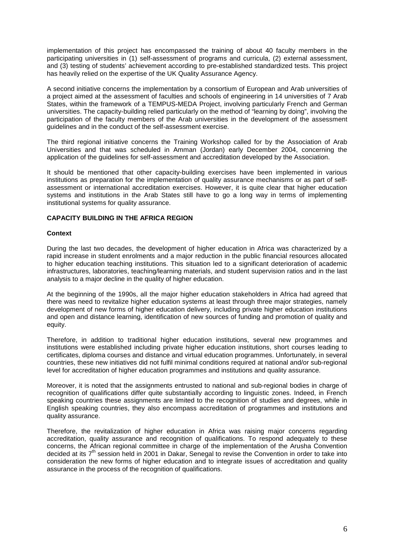implementation of this project has encompassed the training of about 40 faculty members in the participating universities in (1) self-assessment of programs and curricula, (2) external assessment, and (3) testing of students' achievement according to pre-established standardized tests. This project has heavily relied on the expertise of the UK Quality Assurance Agency.

A second initiative concerns the implementation by a consortium of European and Arab universities of a project aimed at the assessment of faculties and schools of engineering in 14 universities of 7 Arab States, within the framework of a TEMPUS-MEDA Project, involving particularly French and German universities. The capacity-building relied particularly on the method of "learning by doing", involving the participation of the faculty members of the Arab universities in the development of the assessment guidelines and in the conduct of the self-assessment exercise.

The third regional initiative concerns the Training Workshop called for by the Association of Arab Universities and that was scheduled in Amman (Jordan) early December 2004, concerning the application of the guidelines for self-assessment and accreditation developed by the Association.

It should be mentioned that other capacity-building exercises have been implemented in various institutions as preparation for the implementation of quality assurance mechanisms or as part of selfassessment or international accreditation exercises. However, it is quite clear that higher education systems and institutions in the Arab States still have to go a long way in terms of implementing institutional systems for quality assurance.

# **CAPACITY BUILDING IN THE AFRICA REGION**

## **Context**

During the last two decades, the development of higher education in Africa was characterized by a rapid increase in student enrolments and a major reduction in the public financial resources allocated to higher education teaching institutions. This situation led to a significant deterioration of academic infrastructures, laboratories, teaching/learning materials, and student supervision ratios and in the last analysis to a major decline in the quality of higher education.

At the beginning of the 1990s, all the major higher education stakeholders in Africa had agreed that there was need to revitalize higher education systems at least through three major strategies, namely development of new forms of higher education delivery, including private higher education institutions and open and distance learning, identification of new sources of funding and promotion of quality and equity.

Therefore, in addition to traditional higher education institutions, several new programmes and institutions were established including private higher education institutions, short courses leading to certificates, diploma courses and distance and virtual education programmes. Unfortunately, in several countries, these new initiatives did not fulfil minimal conditions required at national and/or sub-regional level for accreditation of higher education programmes and institutions and quality assurance.

Moreover, it is noted that the assignments entrusted to national and sub-regional bodies in charge of recognition of qualifications differ quite substantially according to linguistic zones. Indeed, in French speaking countries these assignments are limited to the recognition of studies and degrees, while in English speaking countries, they also encompass accreditation of programmes and institutions and quality assurance.

Therefore, the revitalization of higher education in Africa was raising major concerns regarding accreditation, quality assurance and recognition of qualifications. To respond adequately to these concerns, the African regional committee in charge of the implementation of the Arusha Convention decided at its  $7<sup>th</sup>$  session held in 2001 in Dakar, Senegal to revise the Convention in order to take into consideration the new forms of higher education and to integrate issues of accreditation and quality assurance in the process of the recognition of qualifications.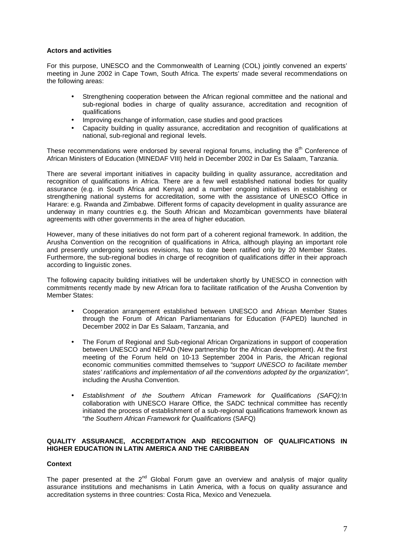## **Actors and activities**

For this purpose, UNESCO and the Commonwealth of Learning (COL) jointly convened an experts' meeting in June 2002 in Cape Town, South Africa. The experts' made several recommendations on the following areas:

- Strengthening cooperation between the African regional committee and the national and sub-regional bodies in charge of quality assurance, accreditation and recognition of qualifications
- Improving exchange of information, case studies and good practices
- Capacity building in quality assurance, accreditation and recognition of qualifications at national, sub-regional and regional levels.

These recommendations were endorsed by several regional forums, including the  $8<sup>th</sup>$  Conference of African Ministers of Education (MINEDAF VIII) held in December 2002 in Dar Es Salaam, Tanzania.

There are several important initiatives in capacity building in quality assurance, accreditation and recognition of qualifications in Africa. There are a few well established national bodies for quality assurance (e.g. in South Africa and Kenya) and a number ongoing initiatives in establishing or strengthening national systems for accreditation, some with the assistance of UNESCO Office in Harare: e.g. Rwanda and Zimbabwe. Different forms of capacity development in quality assurance are underway in many countries e.g. the South African and Mozambican governments have bilateral agreements with other governments in the area of higher education.

However, many of these initiatives do not form part of a coherent regional framework. In addition, the Arusha Convention on the recognition of qualifications in Africa, although playing an important role and presently undergoing serious revisions, has to date been ratified only by 20 Member States. Furthermore, the sub-regional bodies in charge of recognition of qualifications differ in their approach according to linguistic zones.

The following capacity building initiatives will be undertaken shortly by UNESCO in connection with commitments recently made by new African fora to facilitate ratification of the Arusha Convention by Member States:

- Cooperation arrangement established between UNESCO and African Member States through the Forum of African Parliamentarians for Education (FAPED) launched in December 2002 in Dar Es Salaam, Tanzania, and
- The Forum of Regional and Sub-regional African Organizations in support of cooperation between UNESCO and NEPAD (New partnership for the African development). At the first meeting of the Forum held on 10-13 September 2004 in Paris, the African regional economic communities committed themselves to "support UNESCO to facilitate member states' ratifications and implementation of all the conventions adopted by the organization", including the Arusha Convention.
- Establishment of the Southern African Framework for Qualifications (SAFQ):In collaboration with UNESCO Harare Office, the SADC technical committee has recently initiated the process of establishment of a sub-regional qualifications framework known as "the Southern African Framework for Qualifications (SAFQ)

## **QUALITY ASSURANCE, ACCREDITATION AND RECOGNITION OF QUALIFICATIONS IN HIGHER EDUCATION IN LATIN AMERICA AND THE CARIBBEAN**

# **Context**

The paper presented at the  $2^{nd}$  Global Forum gave an overview and analysis of major quality assurance institutions and mechanisms in Latin America, with a focus on quality assurance and accreditation systems in three countries: Costa Rica, Mexico and Venezuela.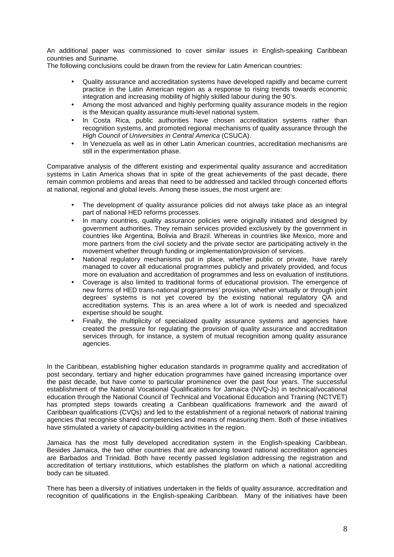An additional paper was commissioned to cover similar issues in English-speaking Caribbean countries and Suriname.

The following conclusions could be drawn from the review for Latin American countries:

- Quality assurance and accreditation systems have developed rapidly and became current practice in the Latin American region as a response to rising trends towards economic integration and increasing mobility of highly skilled labour during the 90's.
- Among the most advanced and highly performing quality assurance models in the region is the Mexican quality assurance multi-level national system.
- In Costa Rica, public authorities have chosen accreditation systems rather than recognition systems, and promoted regional mechanisms of quality assurance through the High Council of Universities in Central America (CSUCA).
- In Venezuela as well as in other Latin American countries, accreditation mechanisms are still in the experimentation phase.

Comparative analysis of the different existing and experimental quality assurance and accreditation systems in Latin America shows that in spite of the great achievements of the past decade, there remain common problems and areas that need to be addressed and tackled through concerted efforts at national, regional and global levels. Among these issues, the most urgent are:

- The development of quality assurance policies did not always take place as an integral part of national HED reforms processes.
- In many countries, quality assurance policies were originally initiated and designed by government authorities. They remain services provided exclusively by the government in countries like Argentina, Bolivia and Brazil. Whereas in countries like Mexico, more and more partners from the civil society and the private sector are participating actively in the movement whether through funding or implementation/provision of services.
- National regulatory mechanisms put in place, whether public or private, have rarely managed to cover all educational programmes publicly and privately provided, and focus more on evaluation and accreditation of programmes and less on evaluation of institutions.
- Coverage is also limited to traditional forms of educational provision. The emergence of new forms of HED trans-national programmes' provision, whether virtually or through joint degrees' systems is not yet covered by the existing national regulatory QA and accreditation systems. This is an area where a lot of work is needed and specialized expertise should be sought.
- Finally, the multiplicity of specialized quality assurance systems and agencies have created the pressure for regulating the provision of quality assurance and accreditation services through, for instance, a system of mutual recognition among quality assurance agencies.

In the Caribbean, establishing higher education standards in programme quality and accreditation of post secondary, tertiary and higher education programmes have gained increasing importance over the past decade, but have come to particular prominence over the past four years. The successful establishment of the National Vocational Qualifications for Jamaica (NVQ-Js) in technical/vocational education through the National Council of Technical and Vocational Education and Training (NCTVET) has prompted steps towards creating a Caribbean qualifications framework and the award of Caribbean qualifications (CVQs) and led to the establishment of a regional network of national training agencies that recognise shared competencies and means of measuring them. Both of these initiatives have stimulated a variety of capacity-building activities in the region.

Jamaica has the most fully developed accreditation system in the English-speaking Caribbean. Besides Jamaica, the two other countries that are advancing toward national accreditation agencies are Barbados and Trinidad. Both have recently passed legislation addressing the registration and accreditation of tertiary institutions, which establishes the platform on which a national accrediting body can be situated.

There has been a diversity of initiatives undertaken in the fields of quality assurance, accreditation and recognition of qualifications in the English-speaking Caribbean. Many of the initiatives have been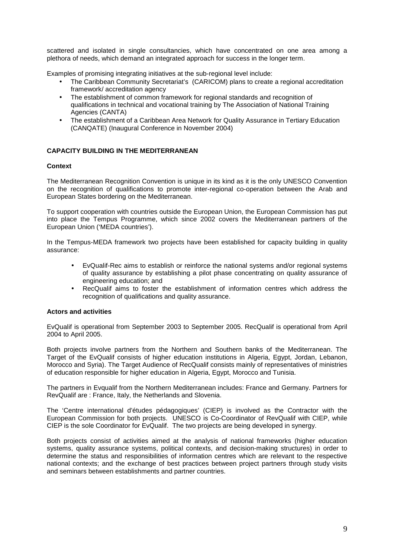scattered and isolated in single consultancies, which have concentrated on one area among a plethora of needs, which demand an integrated approach for success in the longer term.

Examples of promising integrating initiatives at the sub-regional level include:

- The Caribbean Community Secretariat's (CARICOM) plans to create a regional accreditation framework/ accreditation agency
- The establishment of common framework for regional standards and recognition of qualifications in technical and vocational training by The Association of National Training Agencies (CANTA)
- The establishment of a Caribbean Area Network for Quality Assurance in Tertiary Education (CANQATE) (Inaugural Conference in November 2004)

# **CAPACITY BUILDING IN THE MEDITERRANEAN**

#### **Context**

The Mediterranean Recognition Convention is unique in its kind as it is the only UNESCO Convention on the recognition of qualifications to promote inter-regional co-operation between the Arab and European States bordering on the Mediterranean.

To support cooperation with countries outside the European Union, the European Commission has put into place the Tempus Programme, which since 2002 covers the Mediterranean partners of the European Union ('MEDA countries').

In the Tempus-MEDA framework two projects have been established for capacity building in quality assurance:

- EvQualif-Rec aims to establish or reinforce the national systems and/or regional systems of quality assurance by establishing a pilot phase concentrating on quality assurance of engineering education; and
- RecQualif aims to foster the establishment of information centres which address the recognition of qualifications and quality assurance.

#### **Actors and activities**

EvQualif is operational from September 2003 to September 2005. RecQualif is operational from April 2004 to April 2005.

Both projects involve partners from the Northern and Southern banks of the Mediterranean. The Target of the EvQualif consists of higher education institutions in Algeria, Egypt, Jordan, Lebanon, Morocco and Syria). The Target Audience of RecQualif consists mainly of representatives of ministries of education responsible for higher education in Algeria, Egypt, Morocco and Tunisia.

The partners in Evqualif from the Northern Mediterranean includes: France and Germany. Partners for RevQualif are : France, Italy, the Netherlands and Slovenia.

The 'Centre international d'études pédagogiques' (CIEP) is involved as the Contractor with the European Commission for both projects. UNESCO is Co-Coordinator of RevQualif with CIEP, while CIEP is the sole Coordinator for EvQualif. The two projects are being developed in synergy.

Both projects consist of activities aimed at the analysis of national frameworks (higher education systems, quality assurance systems, political contexts, and decision-making structures) in order to determine the status and responsibilities of information centres which are relevant to the respective national contexts; and the exchange of best practices between project partners through study visits and seminars between establishments and partner countries.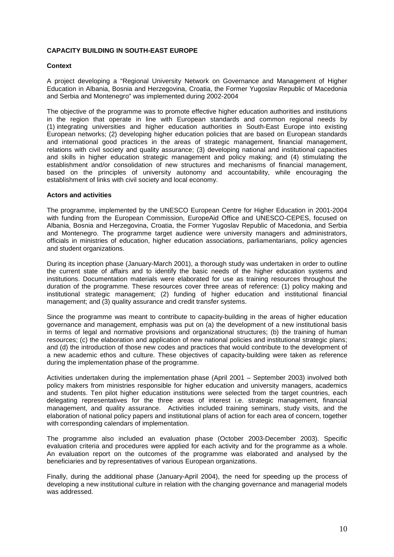## **CAPACITY BUILDING IN SOUTH-EAST EUROPE**

#### **Context**

A project developing a "Regional University Network on Governance and Management of Higher Education in Albania, Bosnia and Herzegovina, Croatia, the Former Yugoslav Republic of Macedonia and Serbia and Montenegro" was implemented during 2002-2004

The objective of the programme was to promote effective higher education authorities and institutions in the region that operate in line with European standards and common regional needs by (1) integrating universities and higher education authorities in South-East Europe into existing European networks; (2) developing higher education policies that are based on European standards and international good practices in the areas of strategic management, financial management, relations with civil society and quality assurance; (3) developing national and institutional capacities and skills in higher education strategic management and policy making; and (4) stimulating the establishment and/or consolidation of new structures and mechanisms of financial management, based on the principles of university autonomy and accountability, while encouraging the establishment of links with civil society and local economy.

#### **Actors and activities**

The programme, implemented by the UNESCO European Centre for Higher Education in 2001-2004 with funding from the European Commission, EuropeAid Office and UNESCO-CEPES, focused on Albania, Bosnia and Herzegovina, Croatia, the Former Yugoslav Republic of Macedonia, and Serbia and Montenegro. The programme target audience were university managers and administrators, officials in ministries of education, higher education associations, parliamentarians, policy agencies and student organizations.

During its inception phase (January-March 2001), a thorough study was undertaken in order to outline the current state of affairs and to identify the basic needs of the higher education systems and institutions. Documentation materials were elaborated for use as training resources throughout the duration of the programme. These resources cover three areas of reference: (1) policy making and institutional strategic management; (2) funding of higher education and institutional financial management; and (3) quality assurance and credit transfer systems.

Since the programme was meant to contribute to capacity-building in the areas of higher education governance and management, emphasis was put on (a) the development of a new institutional basis in terms of legal and normative provisions and organizational structures; (b) the training of human resources; (c) the elaboration and application of new national policies and institutional strategic plans; and (d) the introduction of those new codes and practices that would contribute to the development of a new academic ethos and culture. These objectives of capacity-building were taken as reference during the implementation phase of the programme.

Activities undertaken during the implementation phase (April 2001 – September 2003) involved both policy makers from ministries responsible for higher education and university managers, academics and students. Ten pilot higher education institutions were selected from the target countries, each delegating representatives for the three areas of interest i.e. strategic management, financial management, and quality assurance. Activities included training seminars, study visits, and the elaboration of national policy papers and institutional plans of action for each area of concern, together with corresponding calendars of implementation.

The programme also included an evaluation phase (October 2003-December 2003). Specific evaluation criteria and procedures were applied for each activity and for the programme as a whole. An evaluation report on the outcomes of the programme was elaborated and analysed by the beneficiaries and by representatives of various European organizations.

Finally, during the additional phase (January-April 2004), the need for speeding up the process of developing a new institutional culture in relation with the changing governance and managerial models was addressed.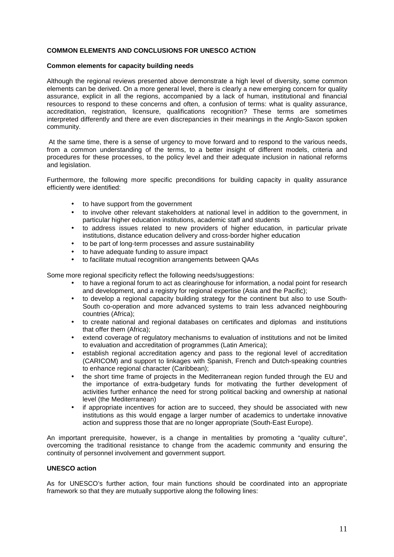## **COMMON ELEMENTS AND CONCLUSIONS FOR UNESCO ACTION**

#### **Common elements for capacity building needs**

Although the regional reviews presented above demonstrate a high level of diversity, some common elements can be derived. On a more general level, there is clearly a new emerging concern for quality assurance, explicit in all the regions, accompanied by a lack of human, institutional and financial resources to respond to these concerns and often, a confusion of terms: what is quality assurance, accreditation, registration, licensure, qualifications recognition? These terms are sometimes interpreted differently and there are even discrepancies in their meanings in the Anglo-Saxon spoken community.

 At the same time, there is a sense of urgency to move forward and to respond to the various needs, from a common understanding of the terms, to a better insight of different models, criteria and procedures for these processes, to the policy level and their adequate inclusion in national reforms and legislation.

Furthermore, the following more specific preconditions for building capacity in quality assurance efficiently were identified:

- to have support from the government
- to involve other relevant stakeholders at national level in addition to the government, in particular higher education institutions, academic staff and students
- to address issues related to new providers of higher education, in particular private institutions, distance education delivery and cross-border higher education
- to be part of long-term processes and assure sustainability
- to have adequate funding to assure impact
- to facilitate mutual recognition arrangements between QAAs

Some more regional specificity reflect the following needs/suggestions:

- to have a regional forum to act as clearinghouse for information, a nodal point for research and development, and a registry for regional expertise (Asia and the Pacific);
- to develop a regional capacity building strategy for the continent but also to use South-South co-operation and more advanced systems to train less advanced neighbouring countries (Africa);
- to create national and regional databases on certificates and diplomas and institutions that offer them (Africa);
- extend coverage of regulatory mechanisms to evaluation of institutions and not be limited to evaluation and accreditation of programmes (Latin America);
- establish regional accreditation agency and pass to the regional level of accreditation (CARICOM) and support to linkages with Spanish, French and Dutch-speaking countries to enhance regional character (Caribbean);
- the short time frame of projects in the Mediterranean region funded through the EU and the importance of extra-budgetary funds for motivating the further development of activities further enhance the need for strong political backing and ownership at national level (the Mediterranean)
- if appropriate incentives for action are to succeed, they should be associated with new institutions as this would engage a larger number of academics to undertake innovative action and suppress those that are no longer appropriate (South-East Europe).

An important prerequisite, however, is a change in mentalities by promoting a "quality culture", overcoming the traditional resistance to change from the academic community and ensuring the continuity of personnel involvement and government support.

## **UNESCO action**

As for UNESCO's further action, four main functions should be coordinated into an appropriate framework so that they are mutually supportive along the following lines: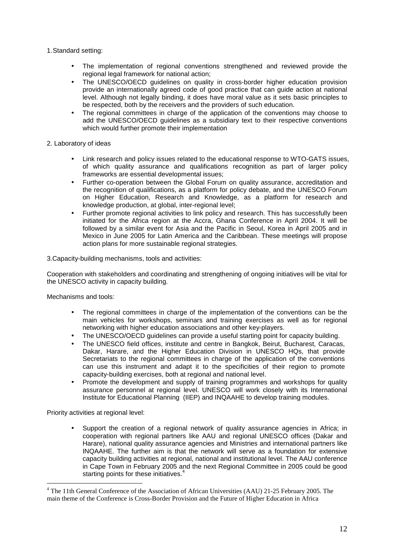1. Standard setting:

- The implementation of regional conventions strengthened and reviewed provide the regional legal framework for national action;
- The UNESCO/OECD guidelines on quality in cross-border higher education provision provide an internationally agreed code of good practice that can guide action at national level. Although not legally binding, it does have moral value as it sets basic principles to be respected, both by the receivers and the providers of such education.
- The regional committees in charge of the application of the conventions may choose to add the UNESCO/OECD guidelines as a subsidiary text to their respective conventions which would further promote their implementation

2. Laboratory of ideas

- Link research and policy issues related to the educational response to WTO-GATS issues, of which quality assurance and qualifications recognition as part of larger policy frameworks are essential developmental issues;
- Further co-operation between the Global Forum on quality assurance, accreditation and the recognition of qualifications, as a platform for policy debate, and the UNESCO Forum on Higher Education, Research and Knowledge, as a platform for research and knowledge production, at global, inter-regional level;
- Further promote regional activities to link policy and research. This has successfully been initiated for the Africa region at the Accra, Ghana Conference in April 2004. It will be followed by a similar event for Asia and the Pacific in Seoul, Korea in April 2005 and in Mexico in June 2005 for Latin America and the Caribbean. These meetings will propose action plans for more sustainable regional strategies.

3.Capacity-building mechanisms, tools and activities:

Cooperation with stakeholders and coordinating and strengthening of ongoing initiatives will be vital for the UNESCO activity in capacity building.

Mechanisms and tools:

- The regional committees in charge of the implementation of the conventions can be the main vehicles for workshops, seminars and training exercises as well as for regional networking with higher education associations and other key-players.
- The UNESCO/OECD quidelines can provide a useful starting point for capacity building.
- The UNESCO field offices, institute and centre in Bangkok, Beirut, Bucharest, Caracas, Dakar, Harare, and the Higher Education Division in UNESCO HQs, that provide Secretariats to the regional committees in charge of the application of the conventions can use this instrument and adapt it to the specificities of their region to promote capacity-building exercises, both at regional and national level.
- Promote the development and supply of training programmes and workshops for quality assurance personnel at regional level. UNESCO will work closely with its International Institute for Educational Planning (IIEP) and INQAAHE to develop training modules.

Priority activities at regional level:

 $\overline{a}$ 

• Support the creation of a regional network of quality assurance agencies in Africa; in cooperation with regional partners like AAU and regional UNESCO offices (Dakar and Harare), national quality assurance agencies and Ministries and international partners like INQAAHE. The further aim is that the network will serve as a foundation for extensive capacity building activities at regional, national and institutional level. The AAU conference in Cape Town in February 2005 and the next Regional Committee in 2005 could be good starting points for these initiatives.<sup>4</sup>

<sup>&</sup>lt;sup>4</sup> The 11th General Conference of the Association of African Universities (AAU) 21-25 February 2005. The main theme of the Conference is Cross-Border Provision and the Future of Higher Education in Africa